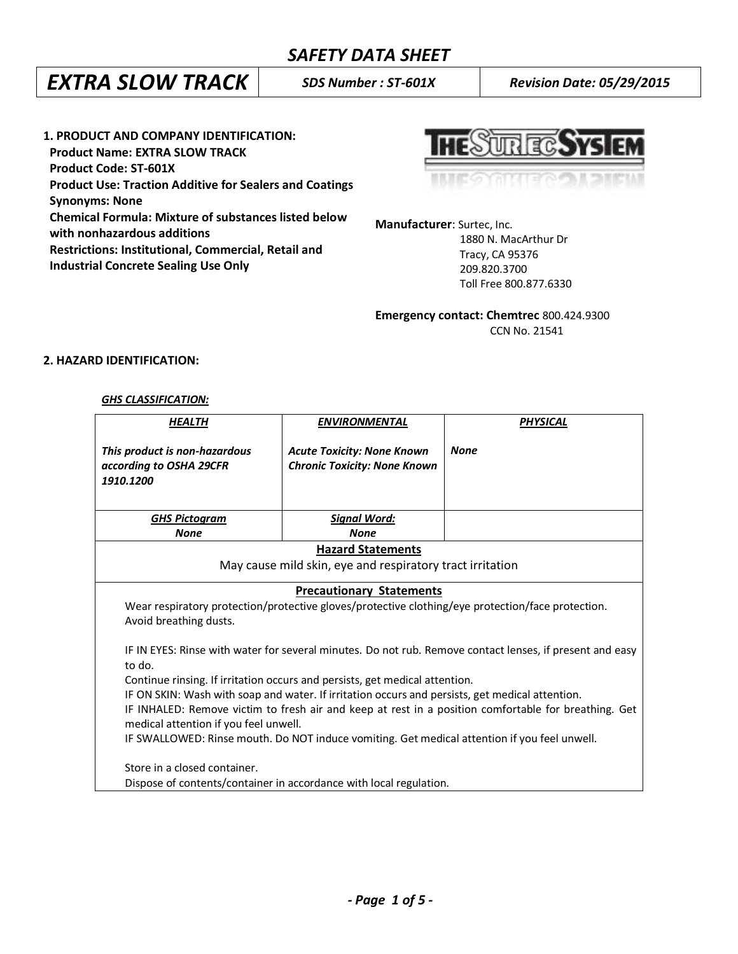### *SAFETY DATA SHEET*

## *EXTRA SLOW TRACK SDS Number : ST-601X Revision Date: 05/29/2015*

**1. PRODUCT AND COMPANY IDENTIFICATION: Product Name: EXTRA SLOW TRACK Product Code: ST-601X Product Use: Traction Additive for Sealers and Coatings Synonyms: None Chemical Formula: Mixture of substances listed below with nonhazardous additions Restrictions: Institutional, Commercial, Retail and Industrial Concrete Sealing Use Only** 

REC. W

**Manufacturer**: Surtec, Inc.

 1880 N. MacArthur Dr Tracy, CA 95376 209.820.3700 Toll Free 800.877.6330

**Emergency contact: Chemtrec** 800.424.9300 CCN No. 21541

#### **2. HAZARD IDENTIFICATION:**

#### *GHS CLASSIFICATION:*

| <b>HEALTH</b>                                                                                                                                                                                                                                                                                                                                                       | <b>ENVIRONMENTAL</b>                                                     | <b>PHYSICAL</b> |  |  |  |
|---------------------------------------------------------------------------------------------------------------------------------------------------------------------------------------------------------------------------------------------------------------------------------------------------------------------------------------------------------------------|--------------------------------------------------------------------------|-----------------|--|--|--|
| This product is non-hazardous<br>according to OSHA 29CFR<br>1910.1200                                                                                                                                                                                                                                                                                               | <b>Acute Toxicity: None Known</b><br><b>Chronic Toxicity: None Known</b> | <b>None</b>     |  |  |  |
| <b>GHS Pictogram</b>                                                                                                                                                                                                                                                                                                                                                | <b>Signal Word:</b>                                                      |                 |  |  |  |
| <b>None</b>                                                                                                                                                                                                                                                                                                                                                         | <b>None</b>                                                              |                 |  |  |  |
| <b>Hazard Statements</b>                                                                                                                                                                                                                                                                                                                                            |                                                                          |                 |  |  |  |
| May cause mild skin, eye and respiratory tract irritation                                                                                                                                                                                                                                                                                                           |                                                                          |                 |  |  |  |
| <b>Precautionary Statements</b><br>Wear respiratory protection/protective gloves/protective clothing/eye protection/face protection.<br>Avoid breathing dusts.<br>IF IN EYES: Rinse with water for several minutes. Do not rub. Remove contact lenses, if present and easy<br>to do.<br>Continue rinsing. If irritation occurs and persists, get medical attention. |                                                                          |                 |  |  |  |
| IF ON SKIN: Wash with soap and water. If irritation occurs and persists, get medical attention.<br>IF INHALED: Remove victim to fresh air and keep at rest in a position comfortable for breathing. Get<br>medical attention if you feel unwell.                                                                                                                    |                                                                          |                 |  |  |  |
| IF SWALLOWED: Rinse mouth. Do NOT induce vomiting. Get medical attention if you feel unwell.                                                                                                                                                                                                                                                                        |                                                                          |                 |  |  |  |
| Store in a closed container.                                                                                                                                                                                                                                                                                                                                        | Dispose of contents/container in accordance with local regulation.       |                 |  |  |  |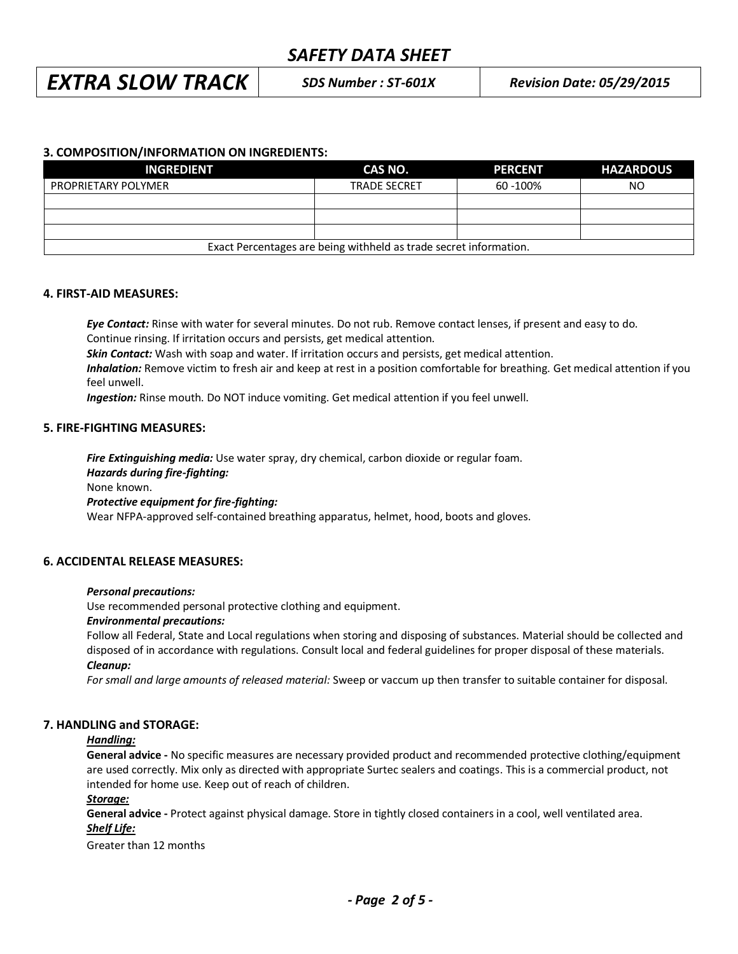### *SAFETY DATA SHEET*

## *EXTRA SLOW TRACK SDS Number : ST-601X Revision Date: 05/29/2015*

#### **3. COMPOSITION/INFORMATION ON INGREDIENTS:**

| <b>INGREDIENT</b>                                                 | CAS NO.             | <b>PERCENT</b> | <b>HAZARDOUS</b> |  |
|-------------------------------------------------------------------|---------------------|----------------|------------------|--|
| <b>PROPRIETARY POLYMER</b>                                        | <b>TRADE SECRET</b> | 60 - 100%      | NO.              |  |
|                                                                   |                     |                |                  |  |
|                                                                   |                     |                |                  |  |
|                                                                   |                     |                |                  |  |
| Exact Percentages are being withheld as trade secret information. |                     |                |                  |  |

#### **4. FIRST-AID MEASURES:**

*Eye Contact:* Rinse with water for several minutes. Do not rub. Remove contact lenses, if present and easy to do. Continue rinsing. If irritation occurs and persists, get medical attention.

*Skin Contact:* Wash with soap and water. If irritation occurs and persists, get medical attention.

*Inhalation:* Remove victim to fresh air and keep at rest in a position comfortable for breathing. Get medical attention if you feel unwell.

*Ingestion:* Rinse mouth. Do NOT induce vomiting. Get medical attention if you feel unwell.

#### **5. FIRE-FIGHTING MEASURES:**

*Fire Extinguishing media:* Use water spray, dry chemical, carbon dioxide or regular foam. *Hazards during fire-fighting:* None known. *Protective equipment for fire-fighting:* Wear NFPA-approved self-contained breathing apparatus, helmet, hood, boots and gloves.

#### **6. ACCIDENTAL RELEASE MEASURES:**

#### *Personal precautions:*

Use recommended personal protective clothing and equipment.

#### *Environmental precautions:*

Follow all Federal, State and Local regulations when storing and disposing of substances. Material should be collected and disposed of in accordance with regulations. Consult local and federal guidelines for proper disposal of these materials. *Cleanup:*

*For small and large amounts of released material:* Sweep or vaccum up then transfer to suitable container for disposal.

#### **7. HANDLING and STORAGE:**

#### *Handling:*

**General advice -** No specific measures are necessary provided product and recommended protective clothing/equipment are used correctly. Mix only as directed with appropriate Surtec sealers and coatings. This is a commercial product, not intended for home use. Keep out of reach of children.

#### *Storage:*

**General advice -** Protect against physical damage. Store in tightly closed containers in a cool, well ventilated area. *Shelf Life:*

Greater than 12 months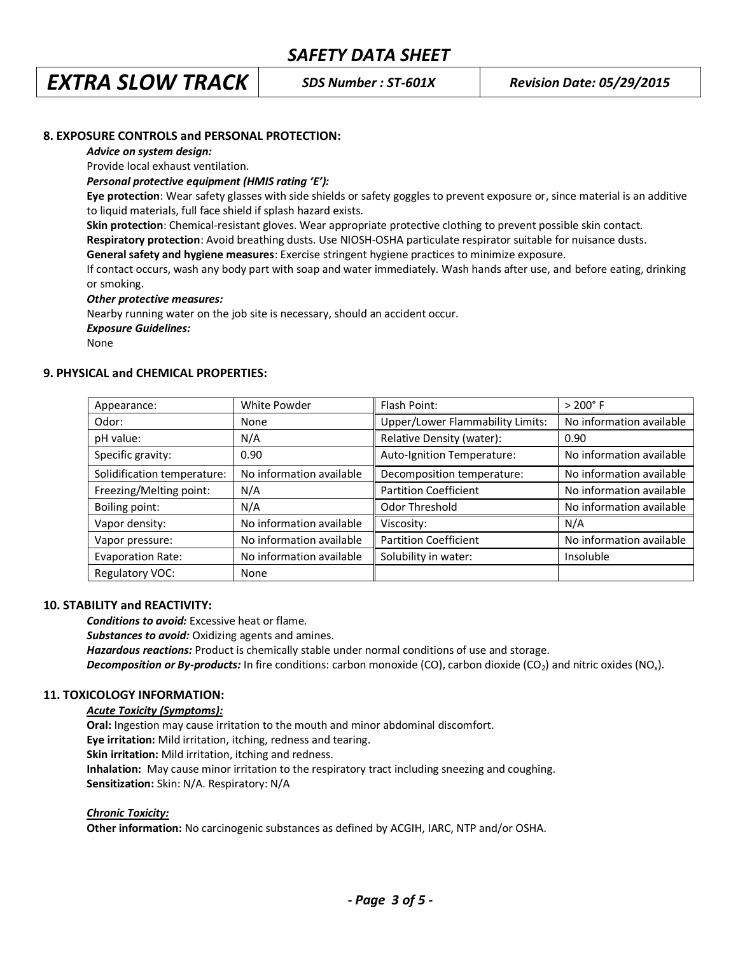## *EXTRA SLOW TRACK SDS Number : ST-601X Revision Date: 05/29/2015*

#### **8. EXPOSURE CONTROLS and PERSONAL PROTECTION:**

#### *Advice on system design:*

Provide local exhaust ventilation.

*Personal protective equipment (HMIS rating 'E'):* 

**Eye protection**: Wear safety glasses with side shields or safety goggles to prevent exposure or, since material is an additive to liquid materials, full face shield if splash hazard exists.

**Skin protection**: Chemical-resistant gloves. Wear appropriate protective clothing to prevent possible skin contact.

**Respiratory protection**: Avoid breathing dusts. Use NIOSH-OSHA particulate respirator suitable for nuisance dusts.

**General safety and hygiene measures**: Exercise stringent hygiene practices to minimize exposure.

If contact occurs, wash any body part with soap and water immediately. Wash hands after use, and before eating, drinking or smoking.

#### *Other protective measures:*

Nearby running water on the job site is necessary, should an accident occur.

*Exposure Guidelines:*

None

#### **9. PHYSICAL and CHEMICAL PROPERTIES:**

| Appearance:                 | White Powder             | Flash Point:                     | $> 200^{\circ}$ F        |
|-----------------------------|--------------------------|----------------------------------|--------------------------|
| Odor:                       | None                     | Upper/Lower Flammability Limits: | No information available |
| pH value:                   | N/A                      | Relative Density (water):        | 0.90                     |
| Specific gravity:           | 0.90                     | Auto-Ignition Temperature:       | No information available |
| Solidification temperature: | No information available | Decomposition temperature:       | No information available |
| Freezing/Melting point:     | N/A                      | <b>Partition Coefficient</b>     | No information available |
| Boiling point:              | N/A                      | Odor Threshold                   | No information available |
| Vapor density:              | No information available | Viscosity:                       | N/A                      |
| Vapor pressure:             | No information available | <b>Partition Coefficient</b>     | No information available |
| <b>Evaporation Rate:</b>    | No information available | Solubility in water:             | Insoluble                |
| Regulatory VOC:             | None                     |                                  |                          |

#### **10. STABILITY and REACTIVITY:**

*Conditions to avoid:* Excessive heat or flame.

*Substances to avoid:* Oxidizing agents and amines.

*Hazardous reactions:* Product is chemically stable under normal conditions of use and storage.

*Decomposition or By-products:* In fire conditions: carbon monoxide (CO), carbon dioxide (CO<sub>2</sub>) and nitric oxides (NO<sub>x</sub>).

#### **11. TOXICOLOGY INFORMATION:**

#### *Acute Toxicity (Symptoms):*

**Oral:** Ingestion may cause irritation to the mouth and minor abdominal discomfort. **Eye irritation:** Mild irritation, itching, redness and tearing. **Skin irritation:** Mild irritation, itching and redness. **Inhalation:** May cause minor irritation to the respiratory tract including sneezing and coughing. **Sensitization:** Skin: N/A. Respiratory: N/A

#### *Chronic Toxicity:*

**Other information:** No carcinogenic substances as defined by ACGIH, IARC, NTP and/or OSHA.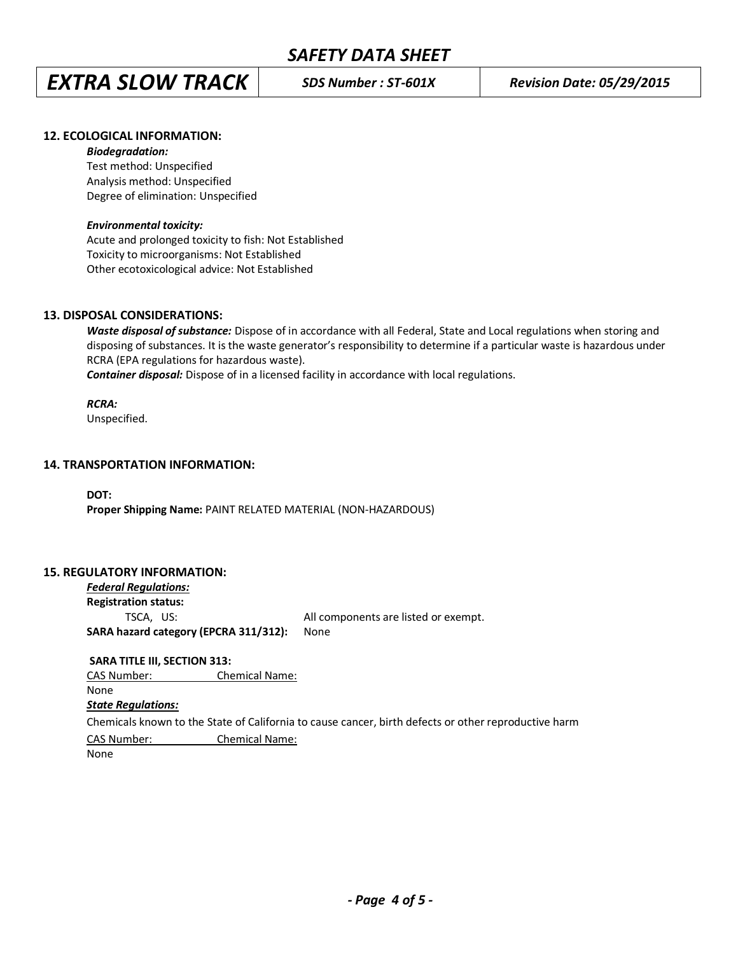# *EXTRA SLOW TRACK SDS Number : ST-601X Revision Date: 05/29/2015*

#### **12. ECOLOGICAL INFORMATION:**

#### *Biodegradation:*

Test method: Unspecified Analysis method: Unspecified Degree of elimination: Unspecified

#### *Environmental toxicity:*

Acute and prolonged toxicity to fish: Not Established Toxicity to microorganisms: Not Established Other ecotoxicological advice: Not Established

#### **13. DISPOSAL CONSIDERATIONS:**

*Waste disposal of substance:* Dispose of in accordance with all Federal, State and Local regulations when storing and disposing of substances. It is the waste generator's responsibility to determine if a particular waste is hazardous under RCRA (EPA regulations for hazardous waste).

**Container disposal:** Dispose of in a licensed facility in accordance with local regulations.

#### *RCRA:*

Unspecified.

#### **14. TRANSPORTATION INFORMATION:**

**DOT: Proper Shipping Name:** PAINT RELATED MATERIAL (NON-HAZARDOUS)

#### **15. REGULATORY INFORMATION:**

*Federal Regulations:* **Registration status:** TSCA, US: All components are listed or exempt. **SARA hazard category (EPCRA 311/312):** None

**SARA TITLE III, SECTION 313:**

CAS Number: Chemical Name:

#### None

#### *State Regulations:*

Chemicals known to the State of California to cause cancer, birth defects or other reproductive harm

CAS Number: Chemical Name:

None